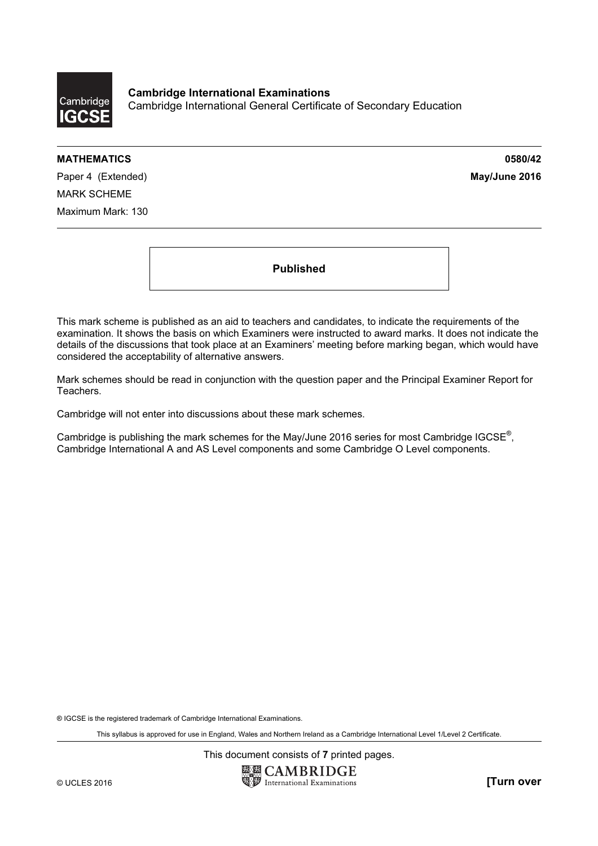

Cambridge International Examinations Cambridge International General Certificate of Secondary Education

#### MATHEMATICS 0580/42

Paper 4 (Extended) **May/June 2016** MARK SCHEME Maximum Mark: 130

Published

This mark scheme is published as an aid to teachers and candidates, to indicate the requirements of the examination. It shows the basis on which Examiners were instructed to award marks. It does not indicate the details of the discussions that took place at an Examiners' meeting before marking began, which would have considered the acceptability of alternative answers.

Mark schemes should be read in conjunction with the question paper and the Principal Examiner Report for Teachers.

Cambridge will not enter into discussions about these mark schemes.

Cambridge is publishing the mark schemes for the May/June 2016 series for most Cambridge IGCSE*®* , Cambridge International A and AS Level components and some Cambridge O Level components.

® IGCSE is the registered trademark of Cambridge International Examinations.

This syllabus is approved for use in England, Wales and Northern Ireland as a Cambridge International Level 1/Level 2 Certificate.

This document consists of 7 printed pages.

**EX CAMBRIDGE** © UCLES 2016 **and Contract Contract Contract Contract Contract Contract Contract Contract Contract Contract Contract Contract Contract Contract Contract Contract Contract Contract Contract Contract Contract Contract Contr**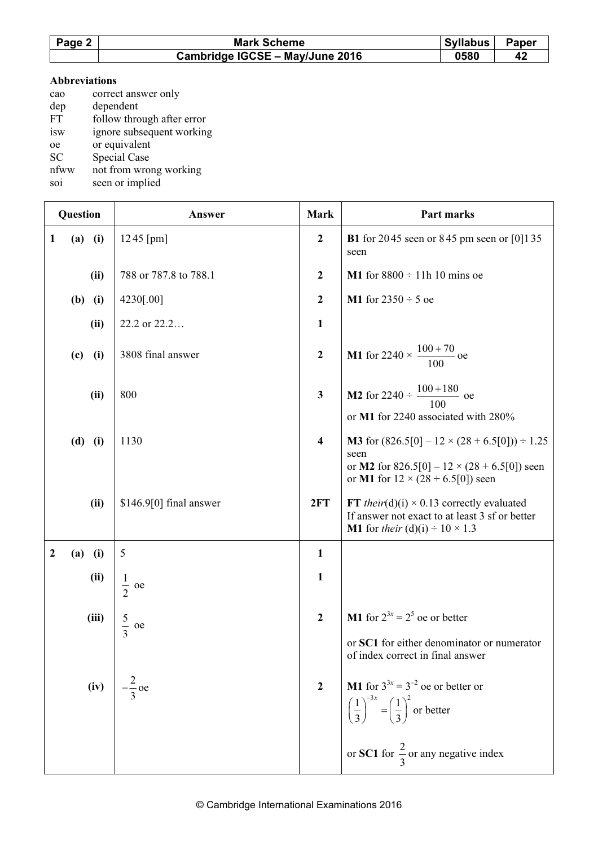| Page 2 | <b>Syllabus</b><br><b>Mark Scheme</b> |      | Paper |
|--------|---------------------------------------|------|-------|
|        | Cambridge IGCSE - May/June 2016       | 0580 | 42    |

#### Abbreviations

| cao       | correct answer only        |
|-----------|----------------------------|
| dep       | dependent                  |
| <b>FT</b> | follow through after error |
| isw       | ignore subsequent working  |
| oe        | or equivalent              |
| <b>SC</b> | Special Case               |
| nfww      | not from wrong working     |

soi seen or implied

| Question         |             | Answer                   | <b>Mark</b>             | Part marks                                                                                                                                                                |
|------------------|-------------|--------------------------|-------------------------|---------------------------------------------------------------------------------------------------------------------------------------------------------------------------|
| 1                | $(a)$ $(i)$ | $1245$ [pm]              | $\boldsymbol{2}$        | <b>B1</b> for 2045 seen or 845 pm seen or [0] 135<br>seen                                                                                                                 |
|                  | (ii)        | 788 or 787.8 to 788.1    | $\boldsymbol{2}$        | <b>M1</b> for $8800 \div 11h 10$ mins oe                                                                                                                                  |
|                  | $(b)$ (i)   | 4230[.00]                | $\mathbf{2}$            | <b>M1</b> for $2350 \div 5$ oe                                                                                                                                            |
|                  | (ii)        | 22.2 or 22.2             | $\mathbf{1}$            |                                                                                                                                                                           |
|                  | (i)<br>(c)  | 3808 final answer        | $\overline{2}$          | <b>M1</b> for 2240 $\times$ $\frac{100+70}{100}$ oe                                                                                                                       |
|                  | (ii)        | 800                      | $\mathbf{3}$            | <b>M2</b> for 2240 $\div$ $\frac{100+180}{100}$ oe<br>or M1 for 2240 associated with 280%                                                                                 |
|                  | $(d)$ (i)   | 1130                     | $\overline{\mathbf{4}}$ | <b>M3</b> for $(826.5[0] - 12 \times (28 + 6.5[0])) \div 1.25$<br>seen<br>or M2 for 826.5[0] – $12 \times (28 + 6.5[0])$ seen<br>or M1 for $12 \times (28 + 6.5[0])$ seen |
|                  | (ii)        | $$146.9[0]$ final answer | 2FT                     | FT their(d)(i) $\times$ 0.13 correctly evaluated<br>If answer not exact to at least 3 sf or better<br><b>M1</b> for their (d)(i) $\div 10 \times 1.3$                     |
| $\boldsymbol{2}$ | $(a)$ (i)   | 5                        | $\mathbf{1}$            |                                                                                                                                                                           |
|                  | (ii)        | $\frac{1}{2}$<br>oe      | $\mathbf{1}$            |                                                                                                                                                                           |
|                  | (iii)       | $rac{5}{3}$ oe           | $\overline{2}$          | <b>M1</b> for $2^{3x} = 2^5$ oe or better                                                                                                                                 |
|                  |             |                          |                         | or SC1 for either denominator or numerator<br>of index correct in final answer                                                                                            |
|                  | (iv)        |                          | $\overline{2}$          | <b>M1</b> for $3^{3x} = 3^{-2}$ oe or better or<br>$\left(\frac{1}{3}\right)^{-3x} = \left(\frac{1}{3}\right)^2$ or better                                                |
|                  |             |                          |                         | or SC1 for $\frac{2}{3}$ or any negative index                                                                                                                            |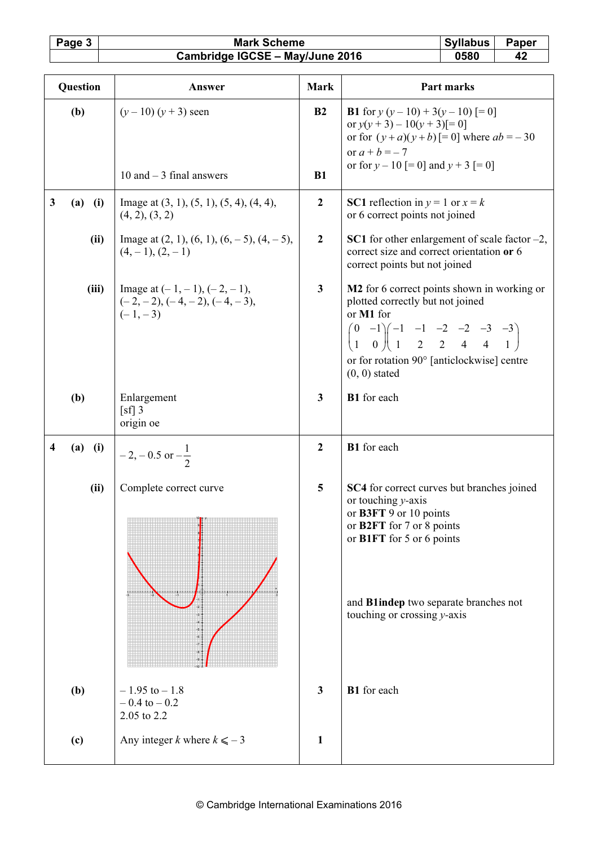## Page 3 Mark Scheme Syllabus Paper<br>Cambridge IGCSE – May/June 2016 0580 42 Cambridge IGCSE - May/June 2016

| Question |             | Answer                                                                          | <b>Mark</b>      | Part marks                                                                                                                                                                                                                                                                                          |
|----------|-------------|---------------------------------------------------------------------------------|------------------|-----------------------------------------------------------------------------------------------------------------------------------------------------------------------------------------------------------------------------------------------------------------------------------------------------|
|          | (b)         | $(y-10)(y+3)$ seen                                                              | B <sub>2</sub>   | <b>B1</b> for $y(y-10) + 3(y-10)$ [= 0]<br>or $y(y + 3) - 10(y + 3) = 0$<br>or for $(y + a)(y + b)$ = 0] where $ab = -30$<br>or $a + b = -7$<br>or for $y - 10$ [= 0] and $y + 3$ [= 0]                                                                                                             |
|          |             | 10 and $-3$ final answers                                                       | B1               |                                                                                                                                                                                                                                                                                                     |
| 3        | $(a)$ (i)   | Image at $(3, 1)$ , $(5, 1)$ , $(5, 4)$ , $(4, 4)$ ,<br>(4, 2), (3, 2)          | $\boldsymbol{2}$ | <b>SC1</b> reflection in $y = 1$ or $x = k$<br>or 6 correct points not joined                                                                                                                                                                                                                       |
|          | (ii)        | Image at $(2, 1)$ , $(6, 1)$ , $(6, -5)$ , $(4, -5)$ ,<br>$(4,-1), (2,-1)$      | $\boldsymbol{2}$ | <b>SC1</b> for other enlargement of scale factor $-2$ ,<br>correct size and correct orientation or 6<br>correct points but not joined                                                                                                                                                               |
|          | (iii)       | Image at $(-1, -1)$ , $(-2, -1)$ ,<br>$(-2,-2), (-4,-2), (-4,-3),$<br>$(-1,-3)$ | $\mathbf{3}$     | M2 for 6 correct points shown in working or<br>plotted correctly but not joined<br>or M1 for<br>$\begin{pmatrix} 0 & -1 \\ 1 & 0 \end{pmatrix} \begin{pmatrix} -1 & -1 & -2 & -2 & -3 & -3 \\ 1 & 2 & 2 & 4 & 4 & 1 \end{pmatrix}$<br>or for rotation 90° [anticlockwise] centre<br>$(0, 0)$ stated |
|          | (b)         | Enlargement<br>$\lceil s f \rceil$ 3<br>origin oe                               | $\mathbf{3}$     | B1 for each                                                                                                                                                                                                                                                                                         |
| 4        | $(a)$ $(i)$ | $-2, -0.5$ or $-\frac{1}{2}$                                                    | $\boldsymbol{2}$ | <b>B1</b> for each                                                                                                                                                                                                                                                                                  |
|          | (ii)        | Complete correct curve<br><u>starting</u>                                       | 5                | SC4 for correct curves but branches joined<br>or touching y-axis<br>or B3FT 9 or 10 points<br>or B2FT for 7 or 8 points<br>or B1FT for 5 or 6 points<br>and Blindep two separate branches not<br>touching or crossing $y$ -axis                                                                     |
|          | (b)         | $-1.95$ to $-1.8$<br>$-0.4$ to $-0.2$<br>2.05 to 2.2                            | $\mathbf{3}$     | B1 for each                                                                                                                                                                                                                                                                                         |
|          | (c)         | Any integer k where $k \le -3$                                                  | 1                |                                                                                                                                                                                                                                                                                                     |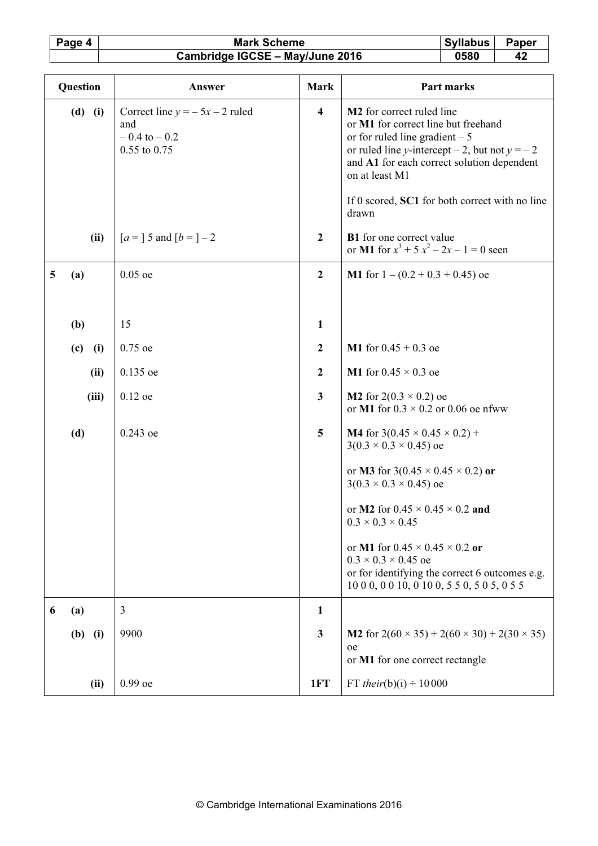## Page 4 Mark Scheme Syllabus Paper<br>Cambridge IGCSE – May/June 2016 0580 42 Cambridge IGCSE - May/June 2016

| Question          | Answer                                                                      | <b>Mark</b>             | Part marks                                                                                                                                                                                                                         |
|-------------------|-----------------------------------------------------------------------------|-------------------------|------------------------------------------------------------------------------------------------------------------------------------------------------------------------------------------------------------------------------------|
| $(d)$ $(i)$       | Correct line $y = -5x - 2$ ruled<br>and<br>$-0.4$ to $-0.2$<br>0.55 to 0.75 | $\overline{\mathbf{4}}$ | M <sub>2</sub> for correct ruled line<br>or M1 for correct line but freehand<br>or for ruled line gradient $-5$<br>or ruled line y-intercept – 2, but not $y = -2$<br>and A1 for each correct solution dependent<br>on at least M1 |
|                   |                                                                             |                         | If 0 scored, SC1 for both correct with no line<br>drawn                                                                                                                                                                            |
| (ii)              | $[a=] 5$ and $[b=] -2$                                                      | $\boldsymbol{2}$        | <b>B1</b> for one correct value<br>or M1 for $x^3 + 5x^2 - 2x - 1 = 0$ seen                                                                                                                                                        |
| 5<br>(a)          | $0.05$ oe                                                                   | $\boldsymbol{2}$        | M1 for $1 - (0.2 + 0.3 + 0.45)$ oe                                                                                                                                                                                                 |
| (b)               | 15                                                                          | $\mathbf{1}$            |                                                                                                                                                                                                                                    |
|                   |                                                                             |                         |                                                                                                                                                                                                                                    |
| (c)<br>(i)        | 0.75 oe                                                                     | $\boldsymbol{2}$        | M1 for $0.45 + 0.3$ oe                                                                                                                                                                                                             |
| (ii)              | $0.135$ oe                                                                  | $\boldsymbol{2}$        | M1 for $0.45 \times 0.3$ oe                                                                                                                                                                                                        |
| (iii)             | $0.12$ oe                                                                   | $\mathbf{3}$            | <b>M2</b> for 2(0.3 $\times$ 0.2) oe<br>or M1 for $0.3 \times 0.2$ or 0.06 oe nfww                                                                                                                                                 |
| (d)               | $0.243$ oe                                                                  | 5                       | <b>M4</b> for $3(0.45 \times 0.45 \times 0.2)$ +<br>$3(0.3 \times 0.3 \times 0.45)$ oe                                                                                                                                             |
|                   |                                                                             |                         | or <b>M3</b> for 3(0.45 $\times$ 0.45 $\times$ 0.2) or<br>$3(0.3 \times 0.3 \times 0.45)$ oe                                                                                                                                       |
|                   |                                                                             |                         | or M2 for $0.45 \times 0.45 \times 0.2$ and<br>$0.3 \times 0.3 \times 0.45$                                                                                                                                                        |
|                   |                                                                             |                         | or M1 for $0.45 \times 0.45 \times 0.2$ or<br>$0.3 \times 0.3 \times 0.45$ oe<br>or for identifying the correct 6 outcomes e.g.<br>10 0 0, 0 0 10, 0 10 0, 5 5 0, 5 0 5, 0 5 5                                                     |
| (a)<br>6          | 3                                                                           | $\mathbf{1}$            |                                                                                                                                                                                                                                    |
| <b>(b)</b><br>(i) | 9900                                                                        | $\mathbf{3}$            | M2 for $2(60 \times 35) + 2(60 \times 30) + 2(30 \times 35)$<br>oe<br>or M1 for one correct rectangle                                                                                                                              |
| (ii)              | $0.99$ oe                                                                   | 1FT                     | FT <i>their</i> (b)(i) $\div$ 10 000                                                                                                                                                                                               |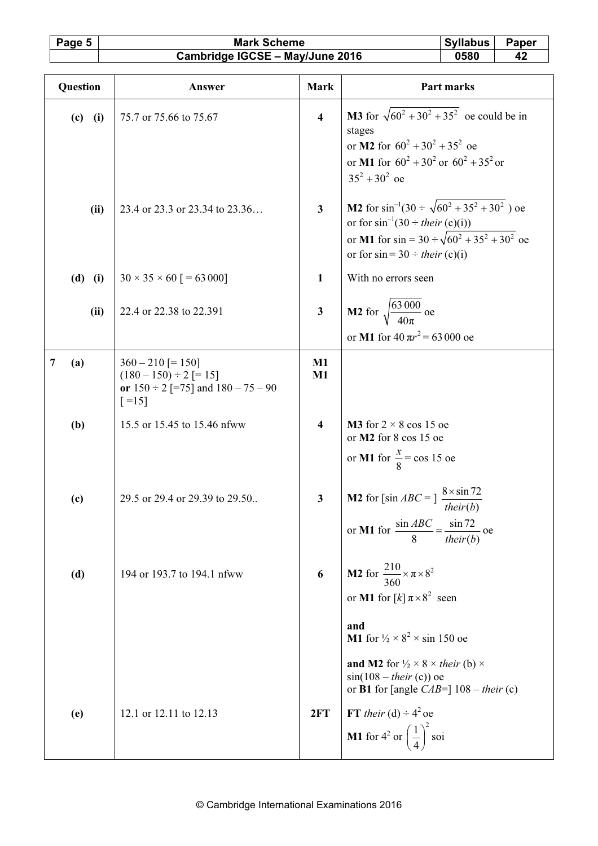## Page 5 Mark Scheme Syllabus Paper<br>Cambridge IGCSE – May/June 2016 0580 42 Cambridge IGCSE - May/June 2016

| Question |             | Answer                                                                              | <b>Mark</b>             | Part marks                                                                                                                                                                                                            |
|----------|-------------|-------------------------------------------------------------------------------------|-------------------------|-----------------------------------------------------------------------------------------------------------------------------------------------------------------------------------------------------------------------|
|          | $(c)$ (i)   | 75.7 or 75.66 to 75.67                                                              | $\overline{\mathbf{4}}$ | <b>M3</b> for $\sqrt{60^2 + 30^2 + 35^2}$ oe could be in<br>stages<br>or <b>M2</b> for $60^2 + 30^2 + 35^2$ oe<br>or M1 for $60^2 + 30^2$ or $60^2 + 35^2$ or<br>$35^2 + 30^2$ oe                                     |
|          | (ii)        | 23.4 or 23.3 or 23.34 to 23.36                                                      | $\overline{\mathbf{3}}$ | <b>M2</b> for $\sin^{-1}(30 \div \sqrt{60^2 + 35^2 + 30^2})$ oe<br>or for $\sin^{-1}(30 \div \text{their } (c)(i))$<br>or M1 for $\sin = 30 \div \sqrt{60^2 + 35^2 + 30^2}$ oe<br>or for $sin = 30 \div their$ (c)(i) |
|          | $(d)$ $(i)$ | $30 \times 35 \times 60$ [ = 63 000]                                                | $\mathbf{1}$            | With no errors seen                                                                                                                                                                                                   |
|          | (ii)        | 22.4 or 22.38 to 22.391                                                             | $\overline{\mathbf{3}}$ | <b>M2</b> for $\sqrt{\frac{63000}{40\pi}}$ oe<br>or M1 for $40 \pi r^2 = 63000$ oe                                                                                                                                    |
| 7        | (a)         | $360 - 210$ [= 150]                                                                 | M1                      |                                                                                                                                                                                                                       |
|          |             | $(180 - 150) \div 2$ [= 15]<br>or $150 \div 2$ [=75] and $180 - 75 - 90$<br>$[-15]$ | $M1$                    |                                                                                                                                                                                                                       |
|          | (b)         | 15.5 or 15.45 to 15.46 nfww                                                         | $\overline{\mathbf{4}}$ | <b>M3</b> for $2 \times 8$ cos 15 oe<br>or M2 for 8 cos 15 oe<br>or M1 for $\frac{x}{8}$ = cos 15 oe                                                                                                                  |
|          | (c)         | 29.5 or 29.4 or 29.39 to 29.50                                                      | $\mathbf{3}$            | <b>M2</b> for [sin $ABC = \frac{8 \times \sin 72}{1}$<br>their(b)<br>$\frac{\sin ABC}{\cos A} = \frac{\sin 72}{\sin 72}$<br>or M1 for<br>- oe<br>their $(b)$                                                          |
|          | (d)         | 194 or 193.7 to 194.1 nfww                                                          | 6                       | <b>M2</b> for $\frac{210}{360} \times \pi \times 8^2$<br>or M1 for $[k]$ $\pi \times 8^2$ seen                                                                                                                        |
|          |             |                                                                                     |                         | and<br>M1 for $\frac{1}{2} \times 8^2 \times \sin 150$ oe                                                                                                                                                             |
|          |             |                                                                                     |                         | <b>and M2</b> for $\frac{1}{2} \times 8 \times$ their (b) $\times$<br>$sin(108 - their (c))$ oe<br>or <b>B1</b> for [angle $CAB=$ ] 108 – their (c)                                                                   |
|          | (e)         | 12.1 or 12.11 to 12.13                                                              | 2FT                     | FT their (d) $\div 4^2$ oe<br><b>M1</b> for $4^2$ or $\left(\frac{1}{4}\right)^2$ soi                                                                                                                                 |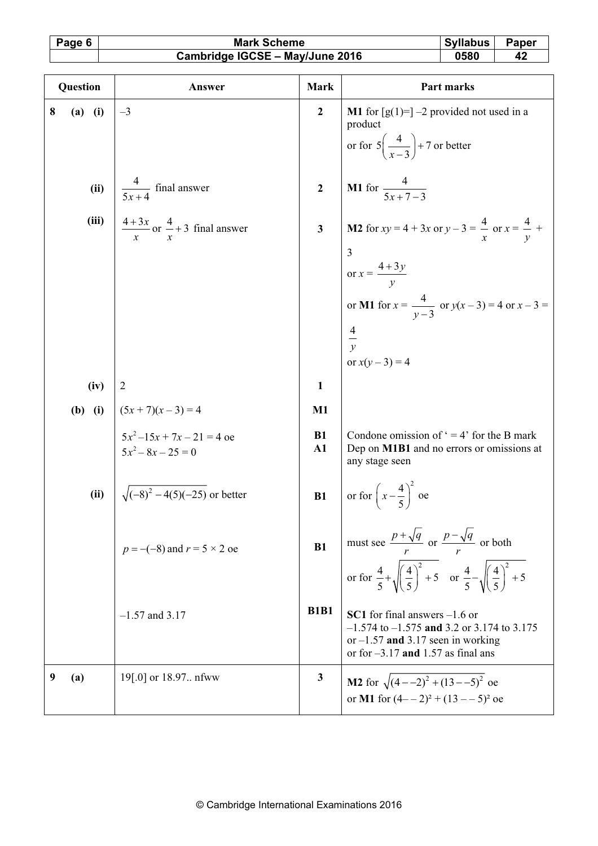# Page 6 | Mark Scheme | Syllabus Paper Cambridge IGCSE – May/June 2016 | 0580 | 42

| SVIIabus | ∽ane |
|----------|------|
|          |      |

| Question |           | Answer                                                                              | <b>Mark</b>                | Part marks                                                                                                                                                       |
|----------|-----------|-------------------------------------------------------------------------------------|----------------------------|------------------------------------------------------------------------------------------------------------------------------------------------------------------|
| 8        | $(a)$ (i) | $-3$                                                                                | $\overline{2}$             | <b>M1</b> for $[g(1)=]-2$ provided not used in a<br>product                                                                                                      |
|          |           |                                                                                     |                            | or for $5\left(\frac{4}{x-3}\right)$ + 7 or better                                                                                                               |
|          | (ii)      | $rac{4}{5x+4}$ final answer                                                         | $\overline{2}$             | <b>M1</b> for $\frac{4}{5x+7-3}$                                                                                                                                 |
|          | (iii)     | $\frac{4+3x}{x}$ or $\frac{4}{x}+3$ final answer                                    | $\overline{\mathbf{3}}$    | <b>M2</b> for $xy = 4 + 3x$ or $y - 3 = \frac{4}{x}$ or $x = \frac{4}{y}$ +                                                                                      |
|          |           |                                                                                     |                            | $\overline{3}$<br>or $x = \frac{4+3y}{y}$                                                                                                                        |
|          |           |                                                                                     |                            | or M1 for $x = \frac{4}{y-3}$ or $y(x-3) = 4$ or $x-3 =$                                                                                                         |
|          |           |                                                                                     |                            | $rac{4}{y}$<br>or $x(y-3) = 4$                                                                                                                                   |
|          | (iv)      | $\overline{2}$                                                                      | $\mathbf{1}$               |                                                                                                                                                                  |
|          |           |                                                                                     | $M1$                       |                                                                                                                                                                  |
|          |           | <b>(b)</b> (i) $(5x + 7)(x - 3) = 4$<br>$5x^2-15x+7x-21 = 4$ oe<br>$5x^2-8x-25 = 0$ | <b>B1</b><br>$\mathbf{A1}$ | Condone omission of $\degree$ = 4' for the B mark<br>Dep on M1B1 and no errors or omissions at<br>any stage seen                                                 |
|          | (ii)      | $\sqrt{(-8)^2 - 4(5)(-25)}$ or better                                               | B1                         | or for $\left(x-\frac{4}{5}\right)^2$ oe                                                                                                                         |
|          |           | $p = -(-8)$ and $r = 5 \times 2$ oe                                                 | B1                         | must see $\frac{p+\sqrt{q}}{r}$ or $\frac{p-\sqrt{q}}{r}$ or both                                                                                                |
|          |           |                                                                                     |                            | or for $\frac{4}{5} + \sqrt{\left(\frac{4}{5}\right)^2 + 5}$ or $\frac{4}{5} - \sqrt{\left(\frac{4}{5}\right)^2 + 5}$                                            |
|          |           | $-1.57$ and 3.17                                                                    | <b>B1B1</b>                | SC1 for final answers $-1.6$ or<br>$-1.574$ to $-1.575$ and 3.2 or 3.174 to 3.175<br>or $-1.57$ and 3.17 seen in working<br>or for $-3.17$ and 1.57 as final ans |
|          | (a)       | 19[.0] or 18.97 nfww                                                                | 3                          | <b>M2</b> for $\sqrt{(4-2)^2 + (13-5)^2}$ oe<br>or M1 for $(4 - 2)^2 + (13 - 5)^2$ oe                                                                            |